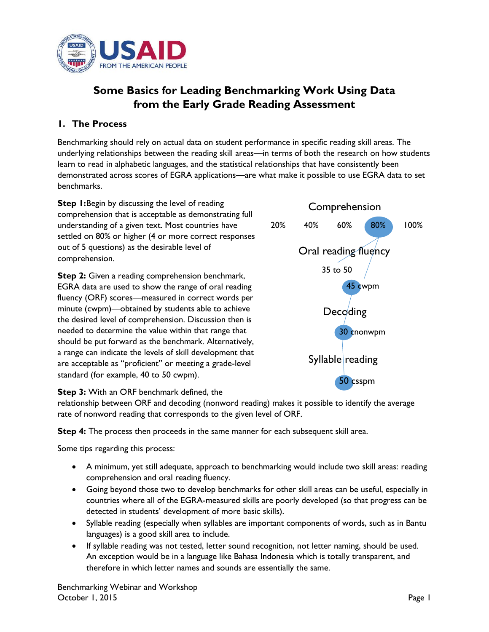

# **Some Basics for Leading Benchmarking Work Using Data from the Early Grade Reading Assessment**

## **1. The Process**

Benchmarking should rely on actual data on student performance in specific reading skill areas. The underlying relationships between the reading skill areas—in terms of both the research on how students learn to read in alphabetic languages, and the statistical relationships that have consistently been demonstrated across scores of EGRA applications—are what make it possible to use EGRA data to set benchmarks.

**Step 1:**Begin by discussing the level of reading comprehension that is acceptable as demonstrating full understanding of a given text. Most countries have settled on 80% or higher (4 or more correct responses out of 5 questions) as the desirable level of comprehension.

**Step 2:** Given a reading comprehension benchmark, EGRA data are used to show the range of oral reading fluency (ORF) scores—measured in correct words per minute (cwpm)—obtained by students able to achieve the desired level of comprehension. Discussion then is needed to determine the value within that range that should be put forward as the benchmark. Alternatively, a range can indicate the levels of skill development that are acceptable as "proficient" or meeting a grade-level standard (for example, 40 to 50 cwpm).



**Step 3:** With an ORF benchmark defined, the

relationship between ORF and decoding (nonword reading) makes it possible to identify the average rate of nonword reading that corresponds to the given level of ORF.

**Step 4:** The process then proceeds in the same manner for each subsequent skill area.

Some tips regarding this process:

- A minimum, yet still adequate, approach to benchmarking would include two skill areas: reading comprehension and oral reading fluency.
- Going beyond those two to develop benchmarks for other skill areas can be useful, especially in countries where all of the EGRA-measured skills are poorly developed (so that progress can be detected in students' development of more basic skills).
- Syllable reading (especially when syllables are important components of words, such as in Bantu languages) is a good skill area to include.
- If syllable reading was not tested, letter sound recognition, not letter naming, should be used. An exception would be in a language like Bahasa Indonesia which is totally transparent, and therefore in which letter names and sounds are essentially the same.

Benchmarking Webinar and Workshop October 1, 2015 Page 1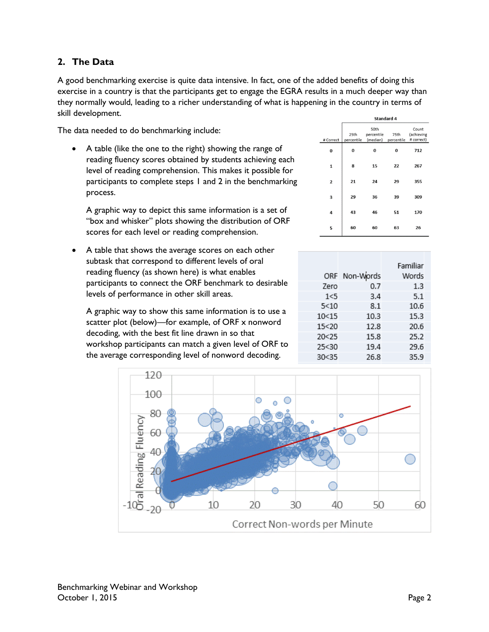## **2. The Data**

A good benchmarking exercise is quite data intensive. In fact, one of the added benefits of doing this exercise in a country is that the participants get to engage the EGRA results in a much deeper way than they normally would, leading to a richer understanding of what is happening in the country in terms of skill development.

The data needed to do benchmarking include:

 A table (like the one to the right) showing the range of reading fluency scores obtained by students achieving each level of reading comprehension. This makes it possible for participants to complete steps 1 and 2 in the benchmarking process.

A graphic way to depict this same information is a set of "box and whisker" plots showing the distribution of ORF scores for each level or reading comprehension.

 A table that shows the average scores on each other subtask that correspond to different levels of oral reading fluency (as shown here) is what enables participants to connect the ORF benchmark to desirable levels of performance in other skill areas.

A graphic way to show this same information is to use a scatter plot (below)—for example, of ORF x nonword decoding, with the best fit line drawn in so that workshop participants can match a given level of ORF to the average corresponding level of nonword decoding.

|  |                         | Standard 4                                                                 |    |                                   |     |  |  |
|--|-------------------------|----------------------------------------------------------------------------|----|-----------------------------------|-----|--|--|
|  | # Correct               | 50th<br>percentile<br>25th<br>75th<br>percentile<br>(median)<br>percentile |    | Count<br>(achieving<br># correct) |     |  |  |
|  | 0                       | 0                                                                          | 0  | 0                                 | 712 |  |  |
|  | 1                       | 8                                                                          | 15 | 22                                | 267 |  |  |
|  | $\overline{\mathbf{2}}$ | 21                                                                         | 24 | 29                                | 355 |  |  |
|  | 3                       | 29                                                                         | 36 | 39                                | 309 |  |  |
|  | 4                       | 43                                                                         | 46 | 51                                | 170 |  |  |
|  | 5                       | 60                                                                         | 60 | 63                                | 26  |  |  |

|         | ORF Non-Words | Familiar<br>Words |
|---------|---------------|-------------------|
| Zero    | 0.7           | 1.3               |
| 1< 5    | 3.4           | 5.1               |
| 5<10    | 8.1           | 10.6              |
| 10<15   | 10.3          | 15.3              |
| 15 < 20 | 12.8          | 20.6              |
| 20 < 25 | 15.8          | 25.2              |
| 25 < 30 | 19.4          | 29.6              |
| 30<35   | 26.8          | 35.9              |

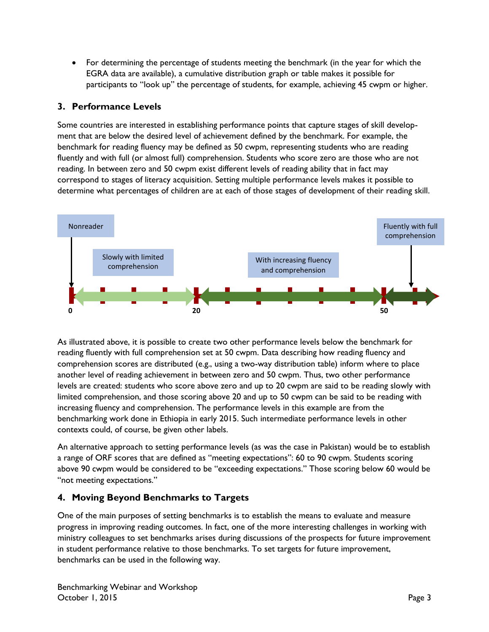• For determining the percentage of students meeting the benchmark (in the year for which the EGRA data are available), a cumulative distribution graph or table makes it possible for participants to "look up" the percentage of students, for example, achieving 45 cwpm or higher.

# **3. Performance Levels**

Some countries are interested in establishing performance points that capture stages of skill development that are below the desired level of achievement defined by the benchmark. For example, the benchmark for reading fluency may be defined as 50 cwpm, representing students who are reading fluently and with full (or almost full) comprehension. Students who score zero are those who are not reading. In between zero and 50 cwpm exist different levels of reading ability that in fact may correspond to stages of literacy acquisition. Setting multiple performance levels makes it possible to determine what percentages of children are at each of those stages of development of their reading skill.



As illustrated above, it is possible to create two other performance levels below the benchmark for reading fluently with full comprehension set at 50 cwpm. Data describing how reading fluency and comprehension scores are distributed (e.g., using a two-way distribution table) inform where to place another level of reading achievement in between zero and 50 cwpm. Thus, two other performance levels are created: students who score above zero and up to 20 cwpm are said to be reading slowly with limited comprehension, and those scoring above 20 and up to 50 cwpm can be said to be reading with increasing fluency and comprehension. The performance levels in this example are from the benchmarking work done in Ethiopia in early 2015. Such intermediate performance levels in other contexts could, of course, be given other labels.

An alternative approach to setting performance levels (as was the case in Pakistan) would be to establish a range of ORF scores that are defined as "meeting expectations": 60 to 90 cwpm. Students scoring above 90 cwpm would be considered to be "exceeding expectations." Those scoring below 60 would be "not meeting expectations."

# **4. Moving Beyond Benchmarks to Targets**

One of the main purposes of setting benchmarks is to establish the means to evaluate and measure progress in improving reading outcomes. In fact, one of the more interesting challenges in working with ministry colleagues to set benchmarks arises during discussions of the prospects for future improvement in student performance relative to those benchmarks. To set targets for future improvement, benchmarks can be used in the following way.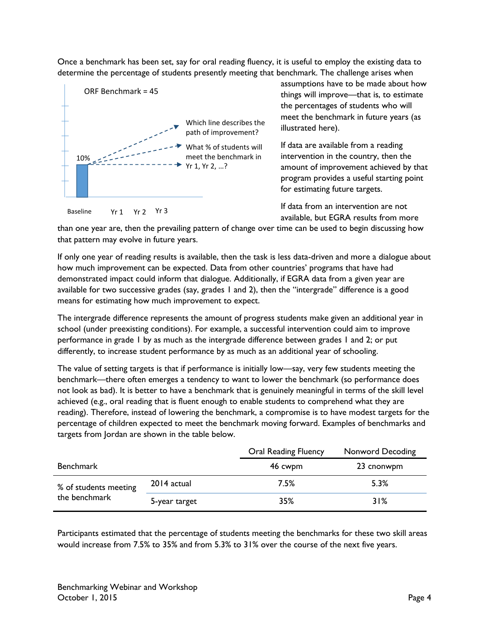Once a benchmark has been set, say for oral reading fluency, it is useful to employ the existing data to determine the percentage of students presently meeting that benchmark. The challenge arises when



assumptions have to be made about how things will improve—that is, to estimate the percentages of students who will meet the benchmark in future years (as illustrated here).

If data are available from a reading intervention in the country, then the amount of improvement achieved by that program provides a useful starting point for estimating future targets.

If data from an intervention are not available, but EGRA results from more

than one year are, then the prevailing pattern of change over time can be used to begin discussing how that pattern may evolve in future years.

If only one year of reading results is available, then the task is less data-driven and more a dialogue about how much improvement can be expected. Data from other countries' programs that have had demonstrated impact could inform that dialogue. Additionally, if EGRA data from a given year are available for two successive grades (say, grades 1 and 2), then the "intergrade" difference is a good means for estimating how much improvement to expect.

The intergrade difference represents the amount of progress students make given an additional year in school (under preexisting conditions). For example, a successful intervention could aim to improve performance in grade 1 by as much as the intergrade difference between grades 1 and 2; or put differently, to increase student performance by as much as an additional year of schooling.

The value of setting targets is that if performance is initially low—say, very few students meeting the benchmark—there often emerges a tendency to want to lower the benchmark (so performance does not look as bad). It is better to have a benchmark that is genuinely meaningful in terms of the skill level achieved (e.g., oral reading that is fluent enough to enable students to comprehend what they are reading). Therefore, instead of lowering the benchmark, a compromise is to have modest targets for the percentage of children expected to meet the benchmark moving forward. Examples of benchmarks and targets from Jordan are shown in the table below.

|                       |               | <b>Oral Reading Fluency</b> | Nonword Decoding |
|-----------------------|---------------|-----------------------------|------------------|
| Benchmark             |               | 46 cwpm                     | 23 cnonwpm       |
| % of students meeting | 2014 actual   | 7.5%                        | 5.3%             |
| the benchmark         | 5-year target | 35%                         | 31%              |

Participants estimated that the percentage of students meeting the benchmarks for these two skill areas would increase from 7.5% to 35% and from 5.3% to 31% over the course of the next five years.